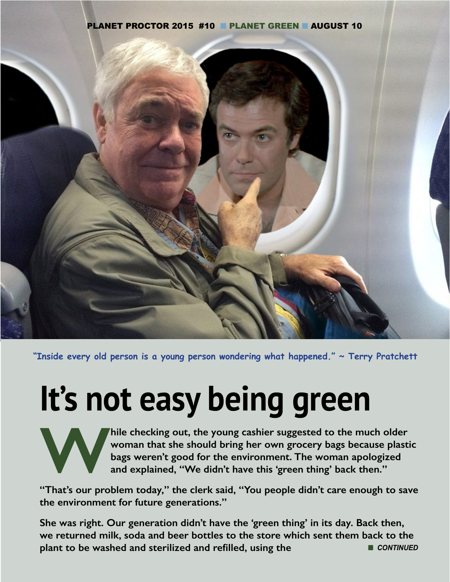

**"Inside every old person is a young person wondering what happened." ~ Terry Pratchett**

# **It's not easy being green**



Thile checking out, the young cashier suggested to the much older woman that she should bring her own grocery bags because plastiding bags weren't good for the environment. The woman apologized and explained, "We didn't ha **woman that she should bring her own grocery bags because plastic bags weren't good for the environment. The woman apologized and explained, "We didn't have this 'green thing' back then."** 

**"That's our problem today," the clerk said, "You people didn't care enough to save the environment for future generations."** 

**She was right. Our generation didn't have the 'green thing' in its day. Back then, we returned milk, soda and beer bottles to the store which sent them back to the plant to be washed and sterilized and refilled, using the <b>notation in CONTINUED**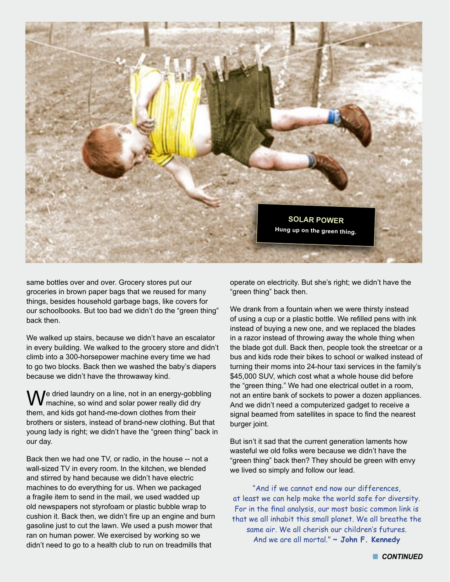

same bottles over and over. Grocery stores put our groceries in brown paper bags that we reused for many things, besides household garbage bags, like covers for our schoolbooks. But too bad we didn't do the "green thing" back then.

We walked up stairs, because we didn't have an escalator in every building. We walked to the grocery store and didn't climb into a 300-horsepower machine every time we had to go two blocks. Back then we washed the baby's diapers because we didn't have the throwaway kind.

 $\int$ e dried laundry on a line, not in an energy-gobbling machine, so wind and solar power really did dry them, and kids got hand-me-down clothes from their brothers or sisters, instead of brand-new clothing. But that young lady is right; we didn't have the "green thing" back in our day.

Back then we had one TV, or radio, in the house -- not a wall-sized TV in every room. In the kitchen, we blended and stirred by hand because we didn't have electric machines to do everything for us. When we packaged a fragile item to send in the mail, we used wadded up old newspapers not styrofoam or plastic bubble wrap to cushion it. Back then, we didn't fire up an engine and burn gasoline just to cut the lawn. We used a push mower that ran on human power. We exercised by working so we didn't need to go to a health club to run on treadmills that

operate on electricity. But she's right; we didn't have the "green thing" back then.

We drank from a fountain when we were thirsty instead of using a cup or a plastic bottle. We refilled pens with ink instead of buying a new one, and we replaced the blades in a razor instead of throwing away the whole thing when the blade got dull. Back then, people took the streetcar or a bus and kids rode their bikes to school or walked instead of turning their moms into 24-hour taxi services in the family's \$45,000 SUV, which cost what a whole house did before the "green thing." We had one electrical outlet in a room, not an entire bank of sockets to power a dozen appliances. And we didn't need a computerized gadget to receive a signal beamed from satellites in space to find the nearest burger joint.

But isn't it sad that the current generation laments how wasteful we old folks were because we didn't have the "green thing" back then? They should be green with envy we lived so simply and follow our lead.

"And if we cannot end now our differences, at least we can help make the world safe for diversity. For in the final analysis, our most basic common link is that we all inhabit this small planet. We all breathe the same air. We all cherish our children's futures. And we are all mortal." **~ John F. Kennedy**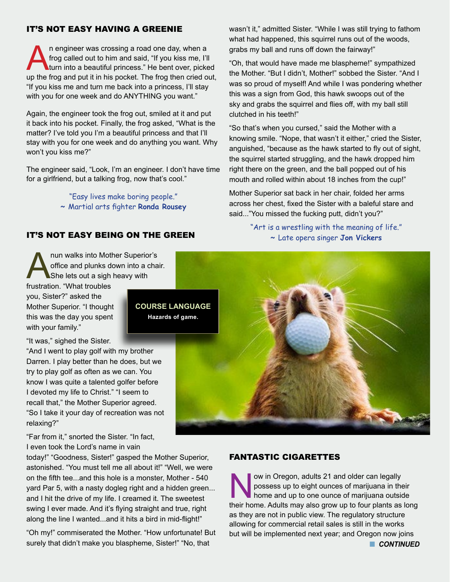#### IT'S NOT EASY HAVING A GREENIE

In engineer was crossing a road one day, when a<br>frog called out to him and said, "If you kiss me, I'll<br>turn into a beautiful princess." He bent over, picke<br>up the frog and put it in his pocket. The frog then cried of frog called out to him and said, "If you kiss me, I'll turn into a beautiful princess." He bent over, picked up the frog and put it in his pocket. The frog then cried out, "If you kiss me and turn me back into a princess, I'll stay with you for one week and do ANYTHING you want."

Again, the engineer took the frog out, smiled at it and put it back into his pocket. Finally, the frog asked, "What is the matter? I've told you I'm a beautiful princess and that I'll stay with you for one week and do anything you want. Why won't you kiss me?"

The engineer said, "Look, I'm an engineer. I don't have time for a girlfriend, but a talking frog, now that's cool."

> "Easy lives make boring people." **~** Martial arts fighter **Ronda Rousey**

#### IT'S NOT EASY BEING ON THE GREEN

All nun walks into Mother Superior's<br>
office and plunks down into a cha<br>
She lets out a sigh heavy with<br>
frustration "What troubles office and plunks down into a chair. She lets out a sigh heavy with

frustration. "What troubles you, Sister?" asked the Mother Superior. "I thought this was the day you spent with your family."

"It was," sighed the Sister.

"And I went to play golf with my brother Darren. I play better than he does, but we try to play golf as often as we can. You know I was quite a talented golfer before I devoted my life to Christ." "I seem to recall that," the Mother Superior agreed. "So I take it your day of recreation was not relaxing?"

"Far from it," snorted the Sister. "In fact, I even took the Lord's name in vain

today!" "Goodness, Sister!" gasped the Mother Superior, astonished. "You must tell me all about it!" "Well, we were on the fifth tee...and this hole is a monster, Mother - 540 yard Par 5, with a nasty dogleg right and a hidden green... and I hit the drive of my life. I creamed it. The sweetest swing I ever made. And it's flying straight and true, right along the line I wanted...and it hits a bird in mid-flight!"

"Oh my!" commiserated the Mother. "How unfortunate! But surely that didn't make you blaspheme, Sister!" "No, that

wasn't it," admitted Sister. "While I was still trying to fathom what had happened, this squirrel runs out of the woods, grabs my ball and runs off down the fairway!"

"Oh, that would have made me blaspheme!" sympathized the Mother. "But I didn't, Mother!" sobbed the Sister. "And I was so proud of myself! And while I was pondering whether this was a sign from God, this hawk swoops out of the sky and grabs the squirrel and flies off, with my ball still clutched in his teeth!"

"So that's when you cursed," said the Mother with a knowing smile. "Nope, that wasn't it either," cried the Sister, anguished, "because as the hawk started to fly out of sight, the squirrel started struggling, and the hawk dropped him right there on the green, and the ball popped out of his mouth and rolled within about 18 inches from the cup!"

Mother Superior sat back in her chair, folded her arms across her chest, fixed the Sister with a baleful stare and said..."You missed the fucking putt, didn't you?"

> "Art is a wrestling with the meaning of life." **~** Late opera singer **Jon Vickers**



#### FANTASTIC CIGARETTES

Now in Oregon, adults 21 and older can legally<br>possess up to eight ounces of marijuana in the<br>home and up to one ounce of marijuana outside<br>their home Adults may also grow up to four plants as possess up to eight ounces of marijuana in their home and up to one ounce of marijuana outside their home. Adults may also grow up to four plants as long as they are not in public view. The regulatory structure allowing for commercial retail sales is still in the works but will be implemented next year; and Oregon now joins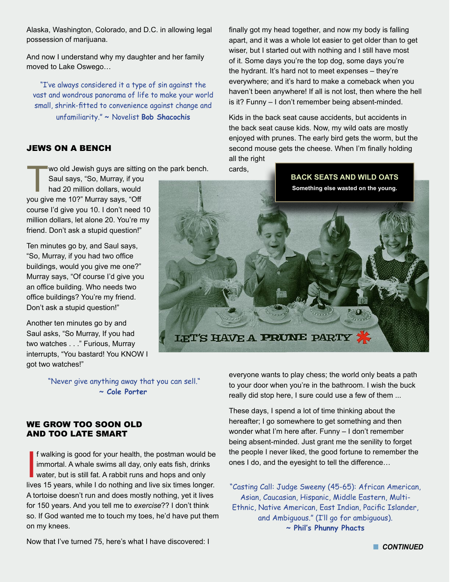Alaska, Washington, Colorado, and D.C. in allowing legal possession of marijuana.

And now I understand why my daughter and her family moved to Lake Oswego…

"I've always considered it a type of sin against the vast and wondrous panorama of life to make your world small, shrink-fitted to convenience against change and unfamiliarity." **~** Novelist **Bob Shacochis**

### JEWS ON A BENCH

wo old Jewish guys are sitting on the park bench.

Saul says, "So, Murray, if you had 20 million dollars, would you give me 10?" Murray says, "Off course I'd give you 10. I don't need 10 million dollars, let alone 20. You're my friend. Don't ask a stupid question!"

Ten minutes go by, and Saul says, "So, Murray, if you had two office buildings, would you give me one?" Murray says, "Of course I'd give you an office building. Who needs two office buildings? You're my friend. Don't ask a stupid question!"

Another ten minutes go by and Saul asks, "So Murray, If you had two watches . . ." Furious, Murray interrupts, "You bastard! You KNOW I got two watches!"

> "Never give anything away that you can sell." **~ Cole Porter**

### WE GROW TOO SOON OLD AND TOO LATE SMART

If walking is good for your health, the postman would be immortal. A whale swims all day, only eats fish, drinks water, but is still fat. A rabbit runs and hops and only lives 15 years, while I do nothing and live six time f walking is good for your health, the postman would be immortal. A whale swims all day, only eats fish, drinks water, but is still fat. A rabbit runs and hops and only A tortoise doesn't run and does mostly nothing, yet it lives for 150 years. And you tell me to *exercise*?? I don't think so. If God wanted me to touch my toes, he'd have put them on my knees.

Now that I've turned 75, here's what I have discovered: I

finally got my head together, and now my body is falling apart, and it was a whole lot easier to get older than to get wiser, but I started out with nothing and I still have most of it. Some days you're the top dog, some days you're the hydrant. It's hard not to meet expenses – they're everywhere; and it's hard to make a comeback when you haven't been anywhere! If all is not lost, then where the hell is it? Funny – I don't remember being absent-minded.

Kids in the back seat cause accidents, but accidents in the back seat cause kids. Now, my wild oats are mostly enjoyed with prunes. The early bird gets the worm, but the second mouse gets the cheese. When I'm finally holding all the right

cards,

everyone wants to play chess; the world only beats a path to your door when you're in the bathroom. I wish the buck really did stop here, I sure could use a few of them ...

These days, I spend a lot of time thinking about the hereafter; I go somewhere to get something and then wonder what I'm here after. Funny – I don't remember being absent-minded. Just grant me the senility to forget the people I never liked, the good fortune to remember the ones I do, and the eyesight to tell the difference…

"Casting Call: Judge Sweeny (45-65): African American, Asian, Caucasian, Hispanic, Middle Eastern, Multi-Ethnic, Native American, East Indian, Pacific Islander, and Ambiguous." (I'll go for ambiguous). **~ Phil's Phunny Phacts**

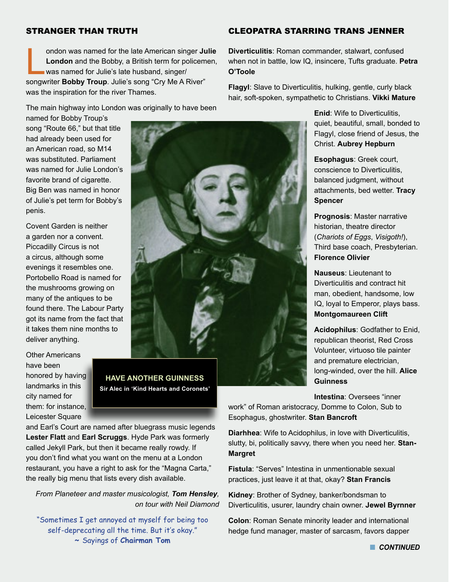#### STRANGER THAN TRUTH

ondon was named for the late American singer **Julion London** and the Bobby, a British term for policem was named for Julie's late husband, singer/<br>songwriter **Bobby Troup**. Julie's song "Cry Me A River" ondon was named for the late American singer **Julie London** and the Bobby, a British term for policemen, was named for Julie's late husband, singer/ was the inspiration for the river Thames.

The main highway into London was originally to have been

named for Bobby Troup's song "Route 66," but that title had already been used for an American road, so M14 was substituted. Parliament was named for Julie London's favorite brand of cigarette. Big Ben was named in honor of Julie's pet term for Bobby's penis.

Covent Garden is neither a garden nor a convent. Piccadilly Circus is not a circus, although some evenings it resembles one. Portobello Road is named for the mushrooms growing on many of the antiques to be found there. The Labour Party got its name from the fact that it takes them nine months to deliver anything.

Other Americans have been honored by having landmarks in this city named for them: for instance, Leicester Square



and Earl's Court are named after bluegrass music legends **Lester Flatt** and **Earl Scruggs**. Hyde Park was formerly called Jekyll Park, but then it became really rowdy. If you don't find what you want on the menu at a London restaurant, you have a right to ask for the "Magna Carta," the really big menu that lists every dish available.

*From Planeteer and master musicologist, Tom Hensley, on tour with Neil Diamond*

"Sometimes I get annoyed at myself for being too self-deprecating all the time. But it's okay." **~** Sayings of **Chairman Tom**

#### CLEOPATRA STARRING TRANS JENNER

**Diverticulitis**: Roman commander, stalwart, confused when not in battle, low IQ, insincere, Tufts graduate. **Petra O'Toole**

**Flagyl**: Slave to Diverticulitis, hulking, gentle, curly black hair, soft-spoken, sympathetic to Christians. **Vikki Mature**

> **Enid:** Wife to Diverticulitis. quiet, beautiful, small, bonded to Flagyl, close friend of Jesus, the Christ. **Aubrey Hepburn**

**Esophagus**: Greek court, conscience to Diverticulitis, balanced judgment, without attachments, bed wetter. **Tracy Spencer**

**Prognosis**: Master narrative historian, theatre director (*Chariots of Eggs*, *Visigoth!*), Third base coach, Presbyterian. **Florence Olivier**

**Nauseus**: Lieutenant to Diverticulitis and contract hit man, obedient, handsome, low IQ, loyal to Emperor, plays bass. **Montgomaureen Clift**

**Acidophilus**: Godfather to Enid, republican theorist, Red Cross Volunteer, virtuoso tile painter and premature electrician, long-winded, over the hill. **Alice Guinness**

**Intestina**: Oversees "inner

work" of Roman aristocracy, Domme to Colon, Sub to Esophagus, ghostwriter. **Stan Bancroft**

**Diarhhea**: Wife to Acidophilus, in love with Diverticulitis, slutty, bi, politically savvy, there when you need her. **Stan-Margret**

**Fistula**: "Serves" Intestina in unmentionable sexual practices, just leave it at that, okay? **Stan Francis**

**Kidney**: Brother of Sydney, banker/bondsman to Diverticulitis, usurer, laundry chain owner. **Jewel Byrnner**

**Colon**: Roman Senate minority leader and international hedge fund manager, master of sarcasm, favors dapper

**n** CONTINUED